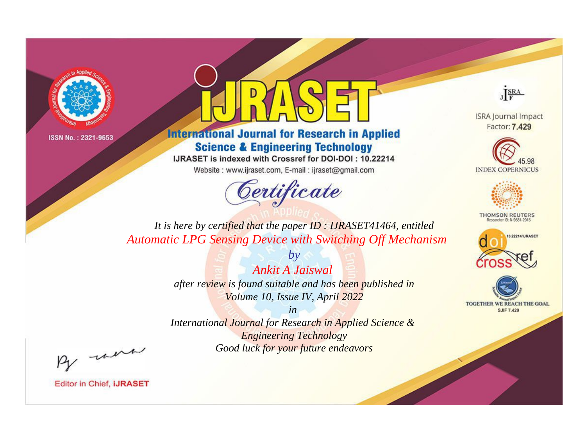



**International Journal for Research in Applied Science & Engineering Technology** 

IJRASET is indexed with Crossref for DOI-DOI: 10.22214

Website: www.ijraset.com, E-mail: ijraset@gmail.com



JERA

**ISRA Journal Impact** Factor: 7.429





**THOMSON REUTERS** 



TOGETHER WE REACH THE GOAL **SJIF 7.429** 

*It is here by certified that the paper ID : IJRASET41464, entitled Automatic LPG Sensing Device with Switching Off Mechanism*

> *Ankit A Jaiswal after review is found suitable and has been published in Volume 10, Issue IV, April 2022*

*by*

*in* 

*International Journal for Research in Applied Science & Engineering Technology Good luck for your future endeavors*

By morn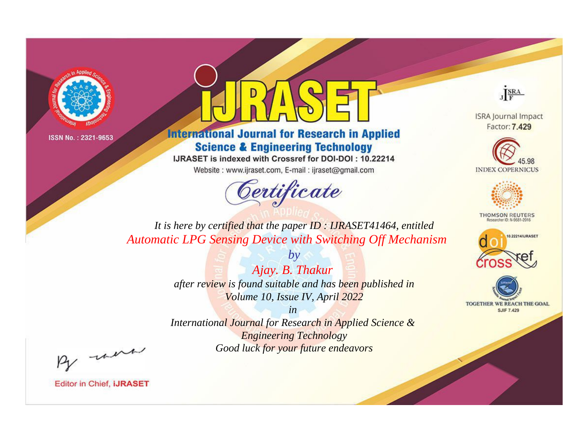



**International Journal for Research in Applied Science & Engineering Technology** 

IJRASET is indexed with Crossref for DOI-DOI: 10.22214

Website: www.ijraset.com, E-mail: ijraset@gmail.com



JERA

**ISRA Journal Impact** Factor: 7.429





**THOMSON REUTERS** 



TOGETHER WE REACH THE GOAL **SJIF 7.429** 

*It is here by certified that the paper ID : IJRASET41464, entitled Automatic LPG Sensing Device with Switching Off Mechanism*

> *by Ajay. B. Thakur after review is found suitable and has been published in Volume 10, Issue IV, April 2022*

> > *in*

*International Journal for Research in Applied Science & Engineering Technology Good luck for your future endeavors*

By morn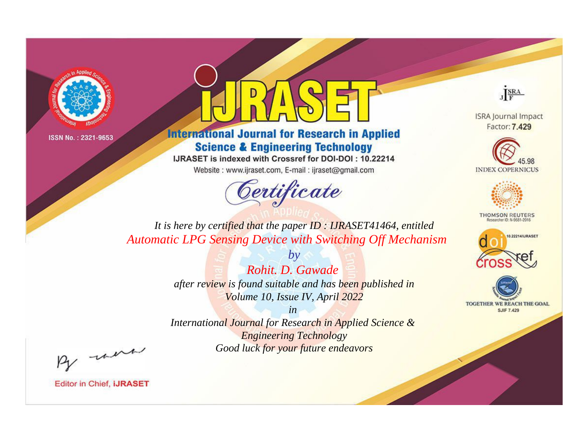



**International Journal for Research in Applied Science & Engineering Technology** 

IJRASET is indexed with Crossref for DOI-DOI: 10.22214

Website: www.ijraset.com, E-mail: ijraset@gmail.com



JERA

**ISRA Journal Impact** Factor: 7.429





**THOMSON REUTERS** 



TOGETHER WE REACH THE GOAL **SJIF 7.429** 

*It is here by certified that the paper ID : IJRASET41464, entitled Automatic LPG Sensing Device with Switching Off Mechanism*

> *Rohit. D. Gawade after review is found suitable and has been published in Volume 10, Issue IV, April 2022*

*by*

*in International Journal for Research in Applied Science &* 

*Engineering Technology Good luck for your future endeavors*

By morn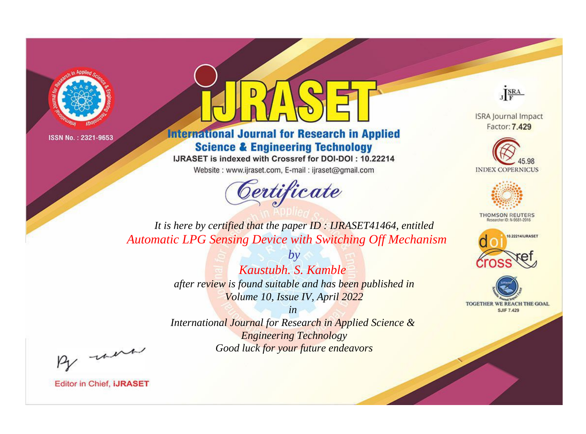



**International Journal for Research in Applied Science & Engineering Technology** 

IJRASET is indexed with Crossref for DOI-DOI: 10.22214

Website: www.ijraset.com, E-mail: ijraset@gmail.com



JERA

**ISRA Journal Impact** Factor: 7.429





**THOMSON REUTERS** 



TOGETHER WE REACH THE GOAL **SJIF 7.429** 

It is here by certified that the paper ID: IJRASET41464, entitled **Automatic LPG Sensing Device with Switching Off Mechanism** 

> Kaustubh. S. Kamble after review is found suitable and has been published in Volume 10, Issue IV, April 2022

 $b\nu$ 

 $in$ International Journal for Research in Applied Science & **Engineering Technology** Good luck for your future endeavors

By morn